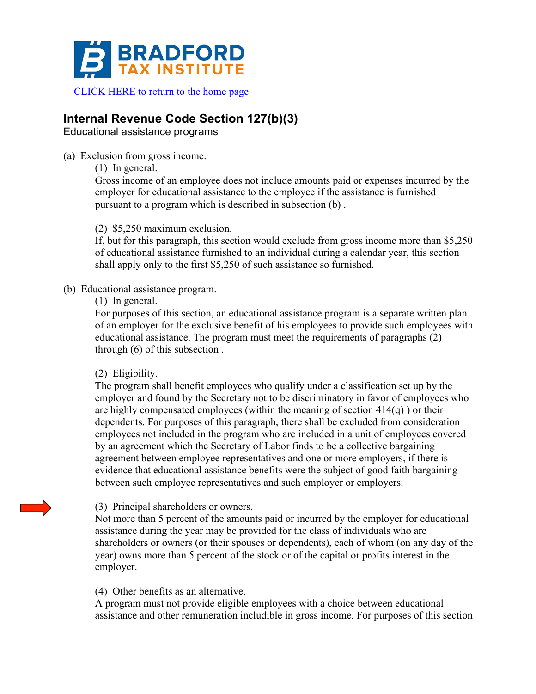

# **Internal Revenue Code Section 127(b)(3)**

Educational assistance programs

(a) Exclusion from gross income.

(1) In general.

Gross income of an employee does not include amounts paid or expenses incurred by the employer for educational assistance to the employee if the assistance is furnished pursuant to a program which is described in subsection (b) .

#### (2) \$5,250 maximum exclusion.

If, but for this paragraph, this section would exclude from gross income more than \$5,250 of educational assistance furnished to an individual during a calendar year, this section shall apply only to the first \$5,250 of such assistance so furnished.

## (b) Educational assistance program.

(1) In general.

For purposes of this section, an educational assistance program is a separate written plan of an employer for the exclusive benefit of his employees to provide such employees with educational assistance. The program must meet the requirements of paragraphs (2) through (6) of this subsection .

## (2) Eligibility.

The program shall benefit employees who qualify under a classification set up by the employer and found by the Secretary not to be discriminatory in favor of employees who are highly compensated employees (within the meaning of section 414(q) ) or their dependents. For purposes of this paragraph, there shall be excluded from consideration employees not included in the program who are included in a unit of employees covered by an agreement which the Secretary of Labor finds to be a collective bargaining agreement between employee representatives and one or more employers, if there is evidence that educational assistance benefits were the subject of good faith bargaining between such employee representatives and such employer or employers.

## (3) Principal shareholders or owners.

Not more than 5 percent of the amounts paid or incurred by the employer for educational assistance during the year may be provided for the class of individuals who are shareholders or owners (or their spouses or dependents), each of whom (on any day of the year) owns more than 5 percent of the stock or of the capital or profits interest in the employer.

## (4) Other benefits as an alternative.

A program must not provide eligible employees with a choice between educational assistance and other remuneration includible in gross income. For purposes of this section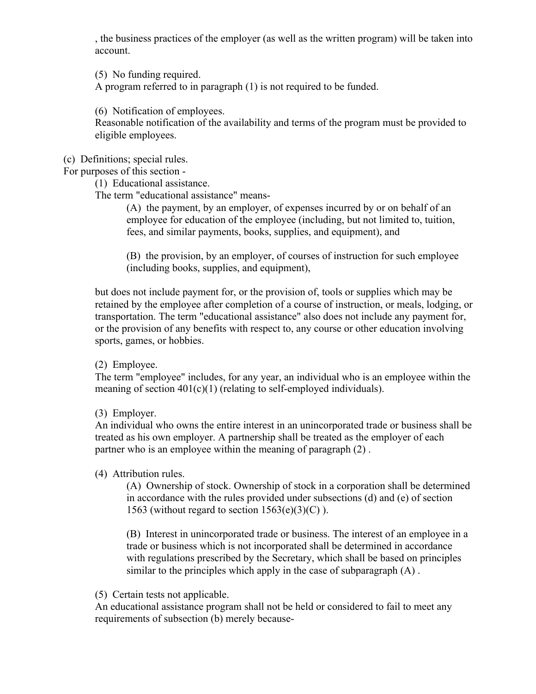, the business practices of the employer (as well as the written program) will be taken into account.

(5) No funding required.

A program referred to in paragraph (1) is not required to be funded.

(6) Notification of employees.

Reasonable notification of the availability and terms of the program must be provided to eligible employees.

#### (c) Definitions; special rules.

For purposes of this section -

(1) Educational assistance.

The term "educational assistance" means-

(A) the payment, by an employer, of expenses incurred by or on behalf of an employee for education of the employee (including, but not limited to, tuition, fees, and similar payments, books, supplies, and equipment), and

(B) the provision, by an employer, of courses of instruction for such employee (including books, supplies, and equipment),

but does not include payment for, or the provision of, tools or supplies which may be retained by the employee after completion of a course of instruction, or meals, lodging, or transportation. The term "educational assistance" also does not include any payment for, or the provision of any benefits with respect to, any course or other education involving sports, games, or hobbies.

(2) Employee.

The term "employee" includes, for any year, an individual who is an employee within the meaning of section  $401(c)(1)$  (relating to self-employed individuals).

(3) Employer.

An individual who owns the entire interest in an unincorporated trade or business shall be treated as his own employer. A partnership shall be treated as the employer of each partner who is an employee within the meaning of paragraph (2) .

(4) Attribution rules.

(A) Ownership of stock. Ownership of stock in a corporation shall be determined in accordance with the rules provided under subsections (d) and (e) of section 1563 (without regard to section  $1563(e)(3)(C)$ ).

(B) Interest in unincorporated trade or business. The interest of an employee in a trade or business which is not incorporated shall be determined in accordance with regulations prescribed by the Secretary, which shall be based on principles similar to the principles which apply in the case of subparagraph  $(A)$ .

(5) Certain tests not applicable.

An educational assistance program shall not be held or considered to fail to meet any requirements of subsection (b) merely because